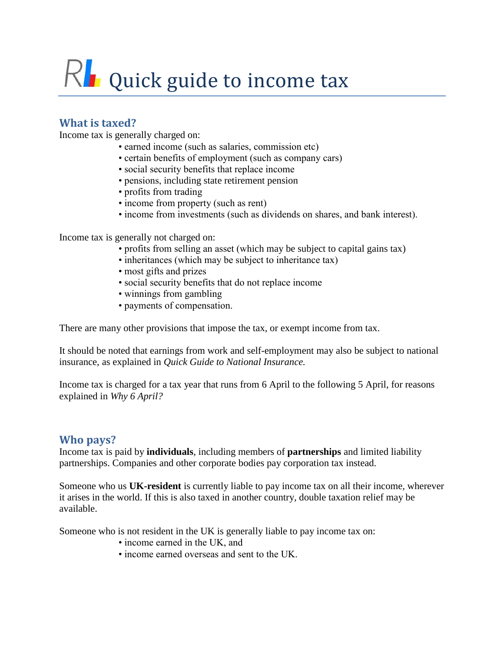# $R$  Quick guide to income tax

# **What is taxed?**

Income tax is generally charged on:

- earned income (such as salaries, commission etc)
- certain benefits of employment (such as company cars)
- social security benefits that replace income
- pensions, including state retirement pension
- profits from trading
- income from property (such as rent)
- income from investments (such as dividends on shares, and bank interest).

Income tax is generally not charged on:

- profits from selling an asset (which may be subject to capital gains tax)
- inheritances (which may be subject to inheritance tax)
- most gifts and prizes
- social security benefits that do not replace income
- winnings from gambling
- payments of compensation.

There are many other provisions that impose the tax, or exempt income from tax.

It should be noted that earnings from work and self-employment may also be subject to national insurance, as explained in *Quick Guide to National Insurance.*

Income tax is charged for a tax year that runs from 6 April to the following 5 April, for reasons explained in *Why 6 April?*

#### **Who pays?**

Income tax is paid by **individuals**, including members of **partnerships** and limited liability partnerships. Companies and other corporate bodies pay corporation tax instead.

Someone who us **UK-resident** is currently liable to pay income tax on all their income, wherever it arises in the world. If this is also taxed in another country, double taxation relief may be available.

Someone who is not resident in the UK is generally liable to pay income tax on:

- income earned in the UK, and
- income earned overseas and sent to the UK.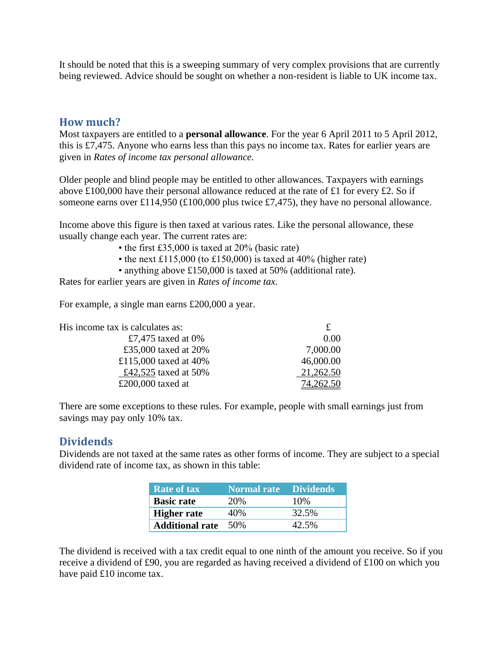It should be noted that this is a sweeping summary of very complex provisions that are currently being reviewed. Advice should be sought on whether a non-resident is liable to UK income tax.

#### **How much?**

Most taxpayers are entitled to a **personal allowance**. For the year 6 April 2011 to 5 April 2012, this is £7,475. Anyone who earns less than this pays no income tax. Rates for earlier years are given in *Rates of income tax personal allowance.*

Older people and blind people may be entitled to other allowances. Taxpayers with earnings above £100,000 have their personal allowance reduced at the rate of £1 for every £2. So if someone earns over £114,950 (£100,000 plus twice £7,475), they have no personal allowance.

Income above this figure is then taxed at various rates. Like the personal allowance, these usually change each year. The current rates are:

- the first £35,000 is taxed at 20% (basic rate)
- the next £115,000 (to £150,000) is taxed at 40% (higher rate)
- anything above £150,000 is taxed at 50% (additional rate).

Rates for earlier years are given in *Rates of income tax.*

For example, a single man earns £200,000 a year.

| His income tax is calculates as: |           |
|----------------------------------|-----------|
| £7,475 taxed at $0\%$            | 0.00      |
| £35,000 taxed at 20%             | 7,000.00  |
| £115,000 taxed at $40\%$         | 46,000.00 |
| £42,525 taxed at 50%             | 21,262.50 |
| £200,000 taxed at                | 262.50    |

There are some exceptions to these rules. For example, people with small earnings just from savings may pay only 10% tax.

#### **Dividends**

Dividends are not taxed at the same rates as other forms of income. They are subject to a special dividend rate of income tax, as shown in this table:

| <b>Rate of tax</b>         | <b>Normal rate</b> Dividends |       |
|----------------------------|------------------------------|-------|
| <b>Basic rate</b>          | 20%                          | 10%   |
| <b>Higher rate</b>         | 40%                          | 32.5% |
| <b>Additional rate</b> 50% |                              | 42.5% |

The dividend is received with a tax credit equal to one ninth of the amount you receive. So if you receive a dividend of £90, you are regarded as having received a dividend of £100 on which you have paid £10 income tax.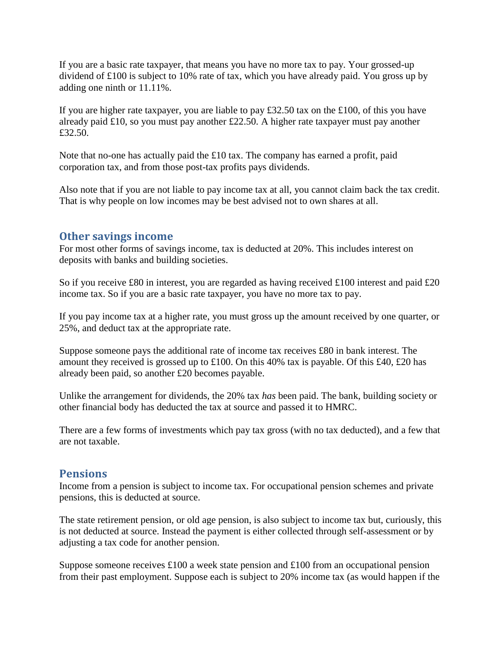If you are a basic rate taxpayer, that means you have no more tax to pay. Your grossed-up dividend of £100 is subject to 10% rate of tax, which you have already paid. You gross up by adding one ninth or 11.11%.

If you are higher rate taxpayer, you are liable to pay £32.50 tax on the £100, of this you have already paid £10, so you must pay another £22.50. A higher rate taxpayer must pay another £32.50.

Note that no-one has actually paid the £10 tax. The company has earned a profit, paid corporation tax, and from those post-tax profits pays dividends.

Also note that if you are not liable to pay income tax at all, you cannot claim back the tax credit. That is why people on low incomes may be best advised not to own shares at all.

#### **Other savings income**

For most other forms of savings income, tax is deducted at 20%. This includes interest on deposits with banks and building societies.

So if you receive £80 in interest, you are regarded as having received £100 interest and paid £20 income tax. So if you are a basic rate taxpayer, you have no more tax to pay.

If you pay income tax at a higher rate, you must gross up the amount received by one quarter, or 25%, and deduct tax at the appropriate rate.

Suppose someone pays the additional rate of income tax receives £80 in bank interest. The amount they received is grossed up to £100. On this 40% tax is payable. Of this £40, £20 has already been paid, so another £20 becomes payable.

Unlike the arrangement for dividends, the 20% tax *has* been paid. The bank, building society or other financial body has deducted the tax at source and passed it to HMRC.

There are a few forms of investments which pay tax gross (with no tax deducted), and a few that are not taxable.

#### **Pensions**

Income from a pension is subject to income tax. For occupational pension schemes and private pensions, this is deducted at source.

The state retirement pension, or old age pension, is also subject to income tax but, curiously, this is not deducted at source. Instead the payment is either collected through self-assessment or by adjusting a tax code for another pension.

Suppose someone receives £100 a week state pension and £100 from an occupational pension from their past employment. Suppose each is subject to 20% income tax (as would happen if the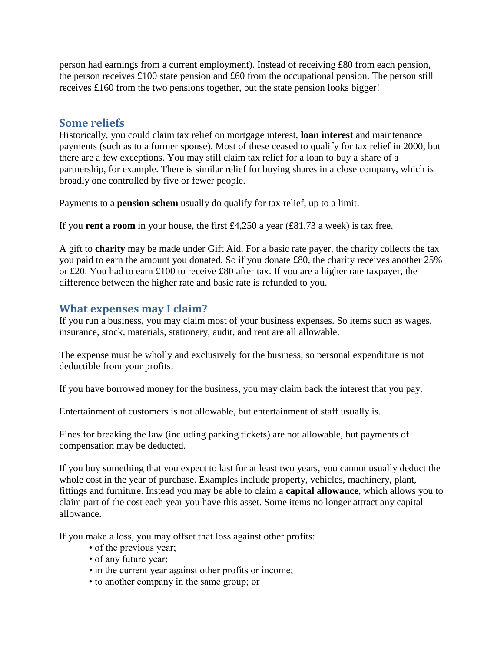person had earnings from a current employment). Instead of receiving £80 from each pension, the person receives £100 state pension and £60 from the occupational pension. The person still receives £160 from the two pensions together, but the state pension looks bigger!

## **Some reliefs**

Historically, you could claim tax relief on mortgage interest, **loan interest** and maintenance payments (such as to a former spouse). Most of these ceased to qualify for tax relief in 2000, but there are a few exceptions. You may still claim tax relief for a loan to buy a share of a partnership, for example. There is similar relief for buying shares in a close company, which is broadly one controlled by five or fewer people.

Payments to a **pension schem** usually do qualify for tax relief, up to a limit.

If you **rent a room** in your house, the first £4,250 a year (£81.73 a week) is tax free.

A gift to **charity** may be made under Gift Aid. For a basic rate payer, the charity collects the tax you paid to earn the amount you donated. So if you donate £80, the charity receives another 25% or £20. You had to earn £100 to receive £80 after tax. If you are a higher rate taxpayer, the difference between the higher rate and basic rate is refunded to you.

# **What expenses may I claim?**

If you run a business, you may claim most of your business expenses. So items such as wages, insurance, stock, materials, stationery, audit, and rent are all allowable.

The expense must be wholly and exclusively for the business, so personal expenditure is not deductible from your profits.

If you have borrowed money for the business, you may claim back the interest that you pay.

Entertainment of customers is not allowable, but entertainment of staff usually is.

Fines for breaking the law (including parking tickets) are not allowable, but payments of compensation may be deducted.

If you buy something that you expect to last for at least two years, you cannot usually deduct the whole cost in the year of purchase. Examples include property, vehicles, machinery, plant, fittings and furniture. Instead you may be able to claim a **capital allowance**, which allows you to claim part of the cost each year you have this asset. Some items no longer attract any capital allowance.

If you make a loss, you may offset that loss against other profits:

- of the previous year;
- of any future year;
- in the current year against other profits or income;
- to another company in the same group; or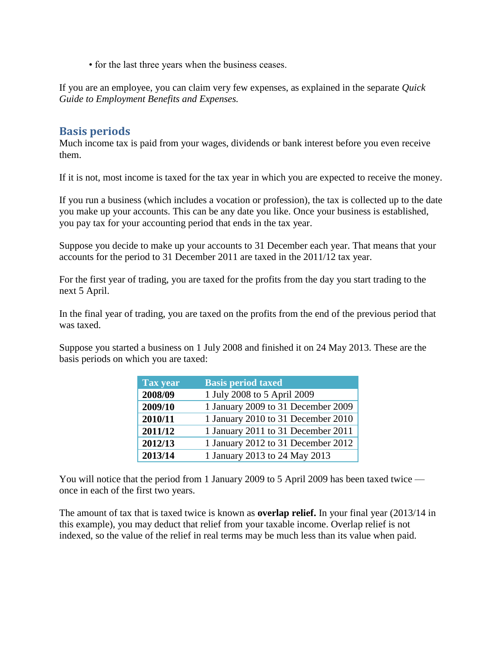• for the last three years when the business ceases.

If you are an employee, you can claim very few expenses, as explained in the separate *Quick Guide to Employment Benefits and Expenses.*

#### **Basis periods**

Much income tax is paid from your wages, dividends or bank interest before you even receive them.

If it is not, most income is taxed for the tax year in which you are expected to receive the money.

If you run a business (which includes a vocation or profession), the tax is collected up to the date you make up your accounts. This can be any date you like. Once your business is established, you pay tax for your accounting period that ends in the tax year.

Suppose you decide to make up your accounts to 31 December each year. That means that your accounts for the period to 31 December 2011 are taxed in the 2011/12 tax year.

For the first year of trading, you are taxed for the profits from the day you start trading to the next 5 April.

In the final year of trading, you are taxed on the profits from the end of the previous period that was taxed.

Suppose you started a business on 1 July 2008 and finished it on 24 May 2013. These are the basis periods on which you are taxed:

| <b>Tax year</b> | <b>Basis period taxed</b>          |
|-----------------|------------------------------------|
| 2008/09         | 1 July 2008 to 5 April 2009        |
| 2009/10         | 1 January 2009 to 31 December 2009 |
| 2010/11         | 1 January 2010 to 31 December 2010 |
| 2011/12         | 1 January 2011 to 31 December 2011 |
| 2012/13         | 1 January 2012 to 31 December 2012 |
| 2013/14         | 1 January 2013 to 24 May 2013      |

You will notice that the period from 1 January 2009 to 5 April 2009 has been taxed twice once in each of the first two years.

The amount of tax that is taxed twice is known as **overlap relief.** In your final year (2013/14 in this example), you may deduct that relief from your taxable income. Overlap relief is not indexed, so the value of the relief in real terms may be much less than its value when paid.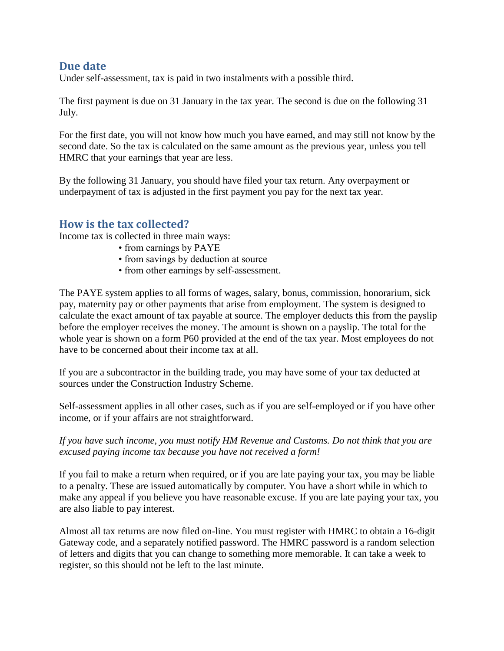### **Due date**

Under self-assessment, tax is paid in two instalments with a possible third.

The first payment is due on 31 January in the tax year. The second is due on the following 31 July.

For the first date, you will not know how much you have earned, and may still not know by the second date. So the tax is calculated on the same amount as the previous year, unless you tell HMRC that your earnings that year are less.

By the following 31 January, you should have filed your tax return. Any overpayment or underpayment of tax is adjusted in the first payment you pay for the next tax year.

## **How is the tax collected?**

Income tax is collected in three main ways:

- from earnings by PAYE
- from savings by deduction at source
- from other earnings by self-assessment.

The PAYE system applies to all forms of wages, salary, bonus, commission, honorarium, sick pay, maternity pay or other payments that arise from employment. The system is designed to calculate the exact amount of tax payable at source. The employer deducts this from the payslip before the employer receives the money. The amount is shown on a payslip. The total for the whole year is shown on a form P60 provided at the end of the tax year. Most employees do not have to be concerned about their income tax at all.

If you are a subcontractor in the building trade, you may have some of your tax deducted at sources under the Construction Industry Scheme.

Self-assessment applies in all other cases, such as if you are self-employed or if you have other income, or if your affairs are not straightforward.

*If you have such income, you must notify HM Revenue and Customs. Do not think that you are excused paying income tax because you have not received a form!*

If you fail to make a return when required, or if you are late paying your tax, you may be liable to a penalty. These are issued automatically by computer. You have a short while in which to make any appeal if you believe you have reasonable excuse. If you are late paying your tax, you are also liable to pay interest.

Almost all tax returns are now filed on-line. You must register with HMRC to obtain a 16-digit Gateway code, and a separately notified password. The HMRC password is a random selection of letters and digits that you can change to something more memorable. It can take a week to register, so this should not be left to the last minute.